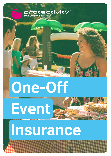

### **One-Off**

## **Event**

### **Insurance**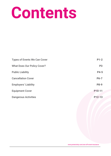### **Contents**

| <b>Types of Events We Can Cover</b> | $P1-2$      |
|-------------------------------------|-------------|
| <b>What Does Our Policy Cover?</b>  | <b>P3</b>   |
| <b>Public Liability</b>             | <b>P4-5</b> |
| <b>Cancellation Cover</b>           | $P6-7$      |
| <b>Employers' Liability</b>         | <b>P8-9</b> |
| <b>Equipment Cover</b>              | P10-11      |
| <b>Dangerous Activities</b>         | P12-13      |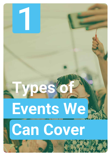# **Types of Events We Can Cover**

1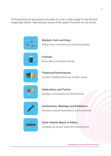At Protectivity we are proud to be able to cover a wide range of one-off and single day events. Here are just some of the types of events we can cover:



**Markets, Fairs and Fetes** Village Fetes, Food Fairs and Christmas Markets



**Festivals**  Music, Beer and Literary Festivals



**Theatrical Performances** Amateur Dramatics, Musicals and Barn Dance



**Celebrations and Parties** Birthdays, Anniversaries and Street Parties



**Conferences, Meetings and Exhibitions** Seminars, Awards Presentations and Conventions



**Static Vehicle Meets or Rallies** Camping, Car owners' Clubs and Vehicle Shows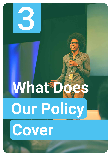

## **What D**

**Our Policy**

**Cover**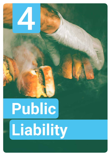## **Public Liability**

4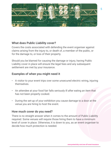

### **What does Public Liability cover?**

Covers the costs associated with defending the event organiser against claims arising from the injury to, or death of, a member of the public, or for the damage to, or loss of their property.

Should you be blamed for causing the damage or injury, having Public Liability cover in place will ensure the legal fees and any subsequent settlement are met by your insurance.

### **Examples of when you might need it**

- A visitor to your event trips over some unsecured electric wiring, injuring themselves.
- An attendee at your food fair falls seriously ill after eating an item that has not been properly cooked.
- During the set-up of your exhibition you cause damage to a door at the venue you are hiring to host the event.

### **How much cover do you need?**

There is no straight answer when it comes to the amount of Public Liability required. Some venues will require those hiring them to have a minimum level of cover in place. Otherwise, it is down to you, as an event organiser to decide how much protection is needed.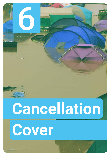

## **Cancellation Cover**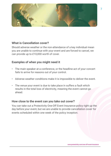

### **What is Cancellation cover?**

Should adverse weather or the non-attendance of a key individual mean you are unable to continue with your event and are forced to cancel, we can provide up to £10,000 worth of cover.

### **Examples of when you might need it**

- The main speaker at a conference, or the headline act of your concert fails to arrive for reasons out of your control.
- Adverse weather conditions make it is impossible to deliver the event.
- The venue your event is due to take place in suffers a fault which results in the total loss of electricity, meaning the event cannot go ahead.

### **How close to the event can you take out cover?**

You can take out a Protectivity One-Off Event Insurance policy right up the day before your event, but we are unable to provide cancellation cover for events scheduled within one week of the policy inception.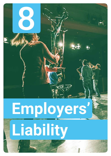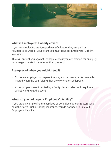

### **What is Employers' Liability cover?**

If you are employing staff, regardless of whether they are paid or volunteers, to work at your event you must take out Employers' Liability insurance.

This will protect you against the legal costs if you are blamed for an injury or damage to a staff member or their property.

### **Examples of when you might need it**

- Someone employed to prepare the stage for a drama performance is injured when the scaffolding they are working on collapses.
- An employee is electrocuted by a faulty piece of electronic equipment whilst working at the event.

### **When do you not require Employers' Liability?**

If you are only employing the services of bona fide sub-contractors who hold their own Public Liability insurance, you do not need to take out Employers' Liability.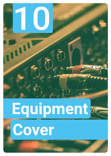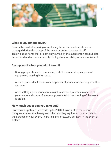

### **What is Equipment cover?**

Covers the cost of repairing or replacing items that are lost, stolen or damaged during the set-up of the event or during the event itself. This includes items that are not only owned by the event organiser, but also items hired and are subsequently the legal responsibility of such individual.

### **Examples of when you might need it**

- During preparations for your event, a staff member drops a piece of equipment, causing it to break.
- A clumsy attendee knocks over a speaker at your event, causing a fault or damage.
- After setting up for your event a night in advance, a break-in occurs at your venue and some of your equipment vital to the running of the event is stolen.

### **How much cover can you take out?**

Protectivity's policy can provide up to £20,000 worth of cover to your marquee, stages, machinery and other ancillary equipment used solely for the purpose of your event. There is a limit of £2,000 per item in the event of a claim.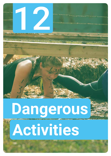## **Dangerous Activities**

12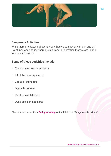

### **Dangerous Activities**

While there are dozens of event types that we can cover with our One-Off Event Insurance policy, there are a number of activities that we are unable to provide cover for.

### **Some of these activities include:**

- Trampolining and gymnastics
- Inflatable play equipment
- Circus or stunt acts
- Obstacle courses
- Pyrotechnical devices
- Quad bikes and go-karts

Please take a look at our **Policy Wording** for the full list of "Dangerous Activities".